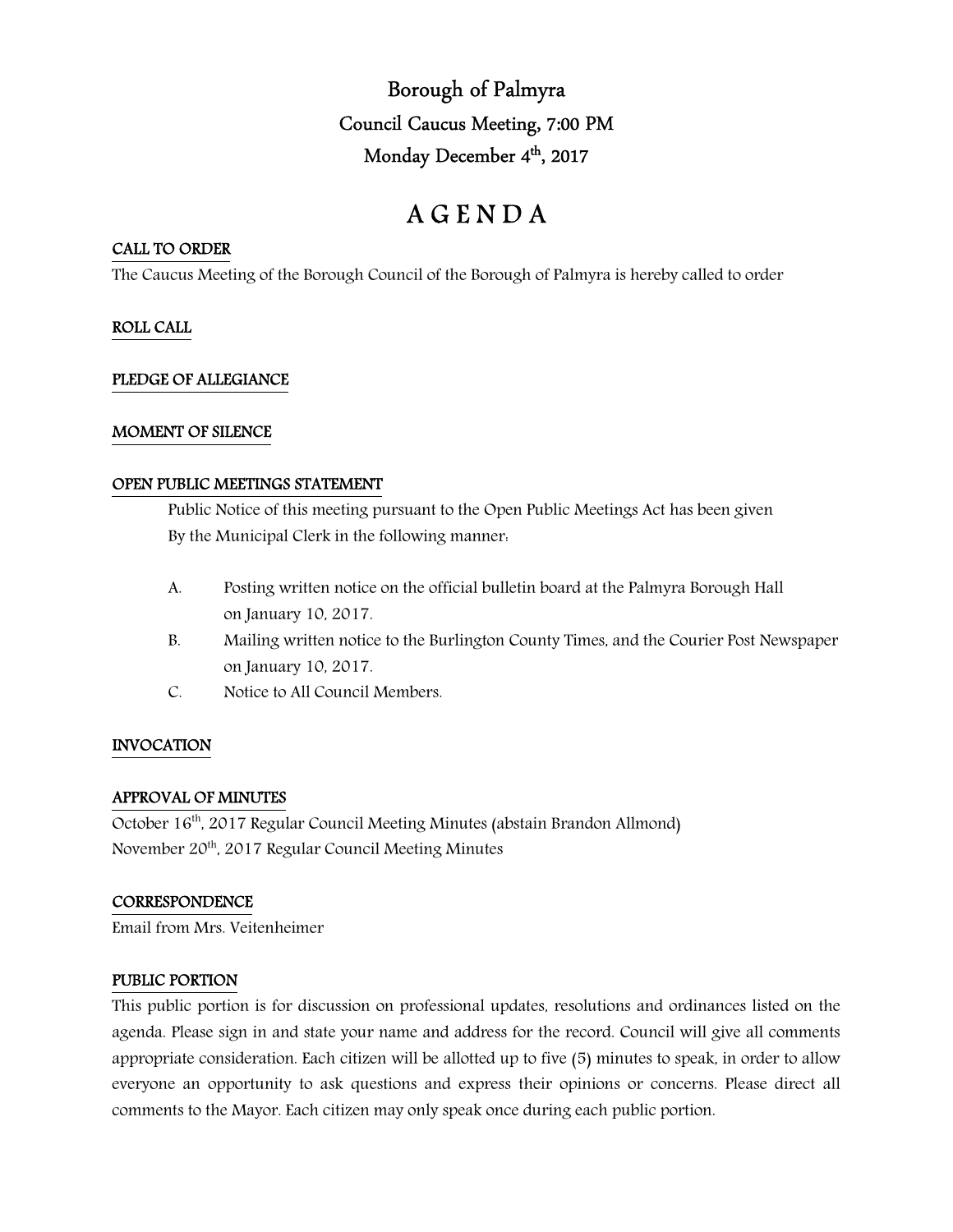Borough of Palmyra Council Caucus Meeting, 7:00 PM Monday December 4<sup>th</sup>, 2017

# A G E N D A

#### CALL TO ORDER

The Caucus Meeting of the Borough Council of the Borough of Palmyra is hereby called to order

## ROLL CALL

## PLEDGE OF ALLEGIANCE

#### MOMENT OF SILENCE

#### OPEN PUBLIC MEETINGS STATEMENT

 Public Notice of this meeting pursuant to the Open Public Meetings Act has been given By the Municipal Clerk in the following manner:

- A. Posting written notice on the official bulletin board at the Palmyra Borough Hall on January 10, 2017.
- B. Mailing written notice to the Burlington County Times, and the Courier Post Newspaper on January 10, 2017.
- C. Notice to All Council Members.

## INVOCATION

## APPROVAL OF MINUTES

October 16<sup>th</sup>, 2017 Regular Council Meeting Minutes (abstain Brandon Allmond) November 20th, 2017 Regular Council Meeting Minutes

#### **CORRESPONDENCE**

Email from Mrs. Veitenheimer

#### PUBLIC PORTION

This public portion is for discussion on professional updates, resolutions and ordinances listed on the agenda. Please sign in and state your name and address for the record. Council will give all comments appropriate consideration. Each citizen will be allotted up to five (5) minutes to speak, in order to allow everyone an opportunity to ask questions and express their opinions or concerns. Please direct all comments to the Mayor. Each citizen may only speak once during each public portion.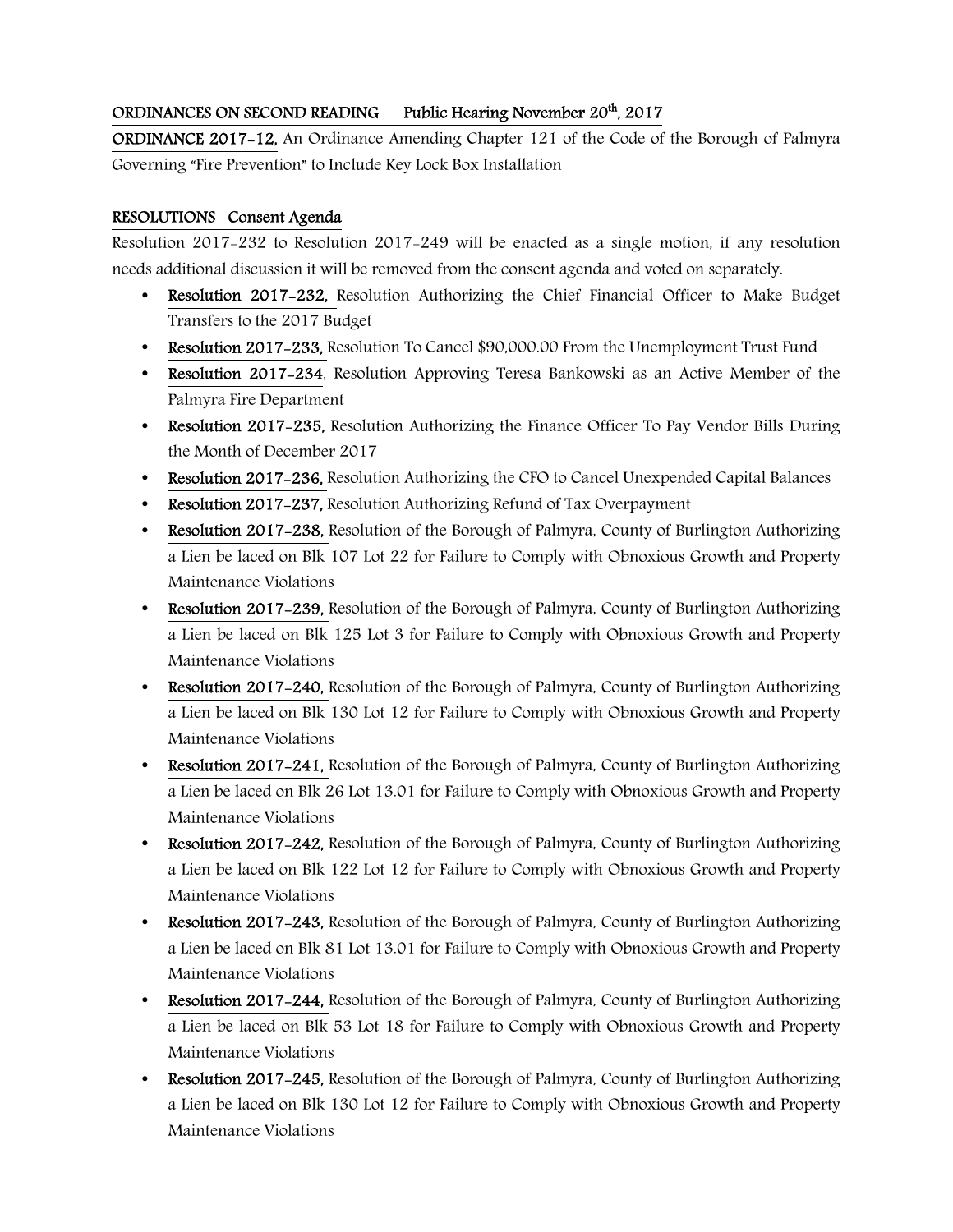## ORDINANCES ON SECOND READING Public Hearing November 20<sup>th</sup>, 2017

ORDINANCE 2017-12, An Ordinance Amending Chapter 121 of the Code of the Borough of Palmyra Governing "Fire Prevention" to Include Key Lock Box Installation

## RESOLUTIONS Consent Agenda

Resolution 2017-232 to Resolution 2017-249 will be enacted as a single motion, if any resolution needs additional discussion it will be removed from the consent agenda and voted on separately.

- Resolution 2017–232, Resolution Authorizing the Chief Financial Officer to Make Budget Transfers to the 2017 Budget
- Resolution 2017-233, Resolution To Cancel \$90,000.00 From the Unemployment Trust Fund
- Resolution 2017–234, Resolution Approving Teresa Bankowski as an Active Member of the Palmyra Fire Department
- Resolution 2017–235, Resolution Authorizing the Finance Officer To Pay Vendor Bills During the Month of December 2017
- Resolution 2017-236, Resolution Authorizing the CFO to Cancel Unexpended Capital Balances
- Resolution 2017–237, Resolution Authorizing Refund of Tax Overpayment
- Resolution 2017-238, Resolution of the Borough of Palmyra, County of Burlington Authorizing a Lien be laced on Blk 107 Lot 22 for Failure to Comply with Obnoxious Growth and Property Maintenance Violations
- Resolution 2017-239, Resolution of the Borough of Palmyra, County of Burlington Authorizing a Lien be laced on Blk 125 Lot 3 for Failure to Comply with Obnoxious Growth and Property Maintenance Violations
- Resolution 2017-240, Resolution of the Borough of Palmyra, County of Burlington Authorizing a Lien be laced on Blk 130 Lot 12 for Failure to Comply with Obnoxious Growth and Property Maintenance Violations
- Resolution 2017–241, Resolution of the Borough of Palmyra, County of Burlington Authorizing a Lien be laced on Blk 26 Lot 13.01 for Failure to Comply with Obnoxious Growth and Property Maintenance Violations
- Resolution 2017–242, Resolution of the Borough of Palmyra, County of Burlington Authorizing a Lien be laced on Blk 122 Lot 12 for Failure to Comply with Obnoxious Growth and Property Maintenance Violations
- Resolution 2017-243, Resolution of the Borough of Palmyra, County of Burlington Authorizing a Lien be laced on Blk 81 Lot 13.01 for Failure to Comply with Obnoxious Growth and Property Maintenance Violations
- Resolution 2017-244, Resolution of the Borough of Palmyra, County of Burlington Authorizing a Lien be laced on Blk 53 Lot 18 for Failure to Comply with Obnoxious Growth and Property Maintenance Violations
- Resolution 2017-245, Resolution of the Borough of Palmyra, County of Burlington Authorizing a Lien be laced on Blk 130 Lot 12 for Failure to Comply with Obnoxious Growth and Property Maintenance Violations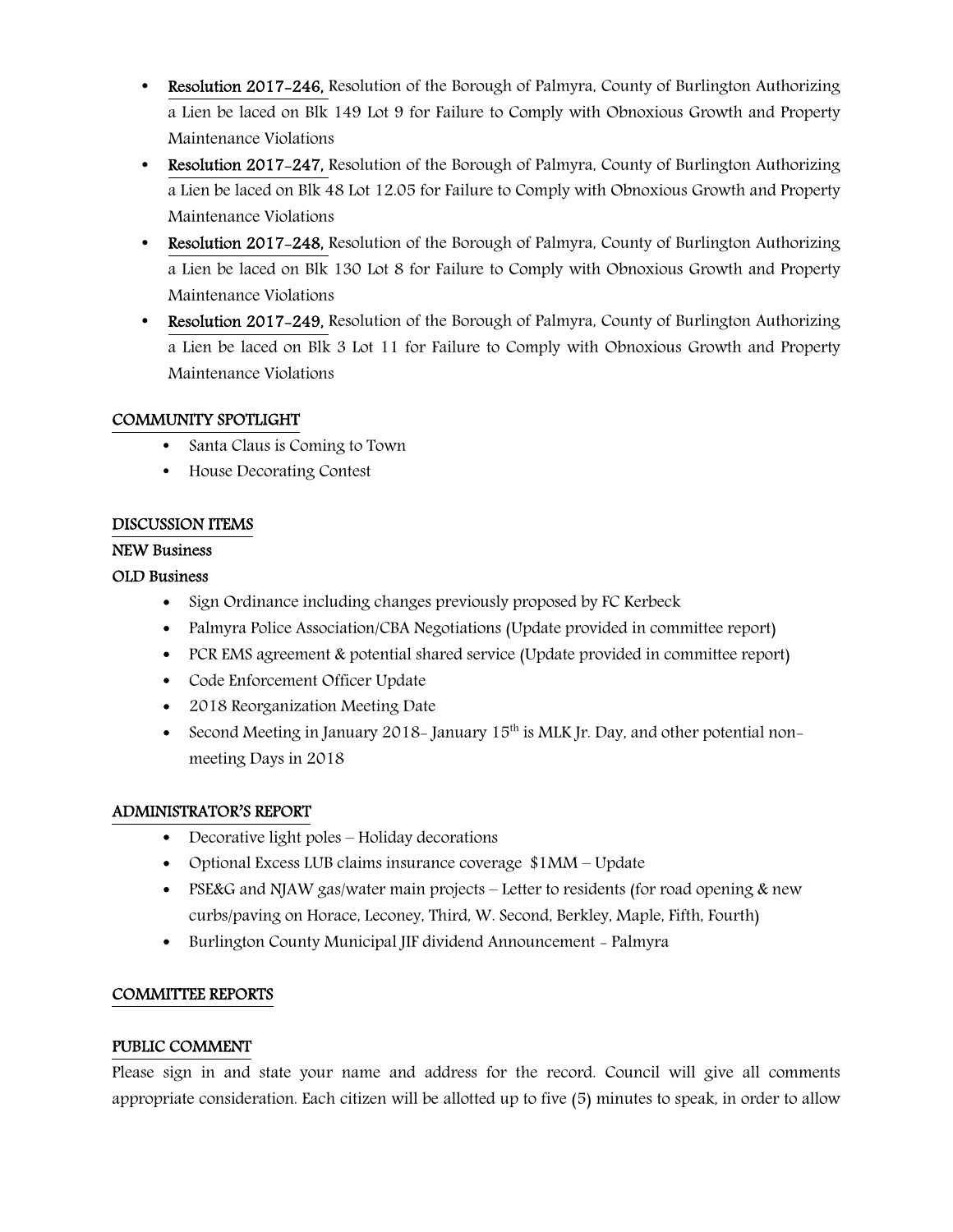- **Resolution 2017-246,** Resolution of the Borough of Palmyra, County of Burlington Authorizing a Lien be laced on Blk 149 Lot 9 for Failure to Comply with Obnoxious Growth and Property Maintenance Violations
- Resolution 2017–247, Resolution of the Borough of Palmyra, County of Burlington Authorizing a Lien be laced on Blk 48 Lot 12.05 for Failure to Comply with Obnoxious Growth and Property Maintenance Violations
- Resolution 2017–248, Resolution of the Borough of Palmyra, County of Burlington Authorizing a Lien be laced on Blk 130 Lot 8 for Failure to Comply with Obnoxious Growth and Property Maintenance Violations
- Resolution 2017–249, Resolution of the Borough of Palmyra, County of Burlington Authorizing a Lien be laced on Blk 3 Lot 11 for Failure to Comply with Obnoxious Growth and Property Maintenance Violations

## COMMUNITY SPOTLIGHT

- Santa Claus is Coming to Town
- House Decorating Contest

## DISCUSSION ITEMS

## NEW Business

## OLD Business

- Sign Ordinance including changes previously proposed by FC Kerbeck
- Palmyra Police Association/CBA Negotiations (Update provided in committee report)
- PCR EMS agreement & potential shared service (Update provided in committee report)
- Code Enforcement Officer Update
- 2018 Reorganization Meeting Date
- Second Meeting in January 2018– January  $15<sup>th</sup>$  is MLK Jr. Day, and other potential nonmeeting Days in 2018

## ADMINISTRATOR'S REPORT

- Decorative light poles Holiday decorations
- Optional Excess LUB claims insurance coverage \$1MM Update
- PSE&G and NJAW gas/water main projects Letter to residents (for road opening & new curbs/paving on Horace, Leconey, Third, W. Second, Berkley, Maple, Fifth, Fourth)
- Burlington County Municipal JIF dividend Announcement Palmyra

## COMMITTEE REPORTS

#### PUBLIC COMMENT

Please sign in and state your name and address for the record. Council will give all comments appropriate consideration. Each citizen will be allotted up to five (5) minutes to speak, in order to allow